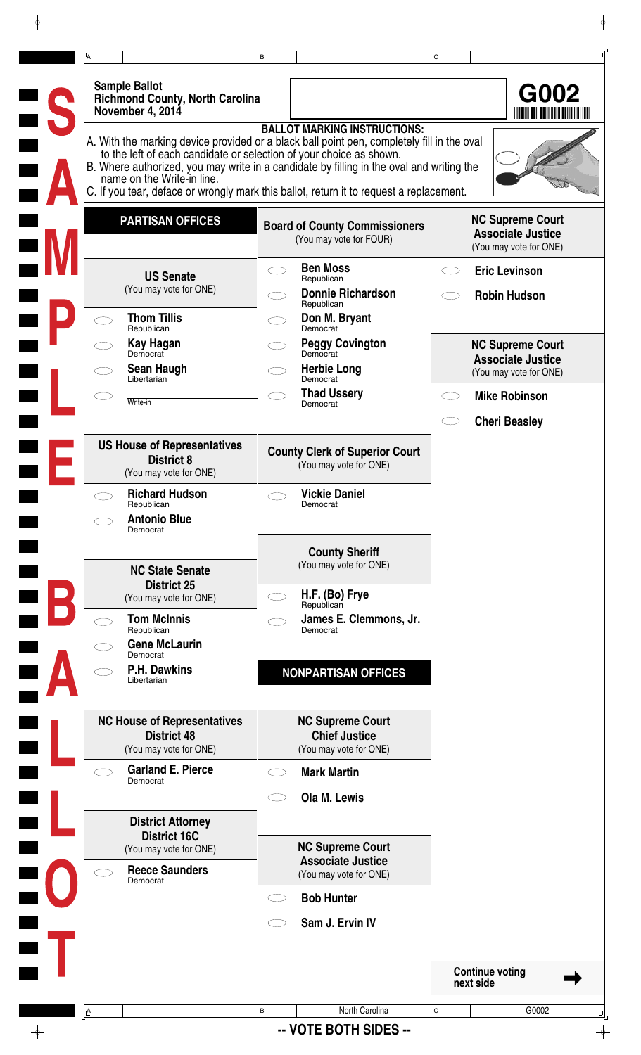| <b>Sample Ballot</b><br><b>Richmond County, North Carolina</b><br>November 4, 2014                |   |                                                                                                                                                                                                                                                                                                                          |             |                                                                               |
|---------------------------------------------------------------------------------------------------|---|--------------------------------------------------------------------------------------------------------------------------------------------------------------------------------------------------------------------------------------------------------------------------------------------------------------------------|-------------|-------------------------------------------------------------------------------|
|                                                                                                   |   |                                                                                                                                                                                                                                                                                                                          |             | G002                                                                          |
| to the left of each candidate or selection of your choice as shown.<br>name on the Write-in line. |   | <b>BALLOT MARKING INSTRUCTIONS:</b><br>A. With the marking device provided or a black ball point pen, completely fill in the oval<br>B. Where authorized, you may write in a candidate by filling in the oval and writing the<br>C. If you tear, deface or wrongly mark this ballot, return it to request a replacement. |             |                                                                               |
| <b>PARTISAN OFFICES</b>                                                                           |   | <b>Board of County Commissioners</b><br>(You may vote for FOUR)                                                                                                                                                                                                                                                          |             | <b>NC Supreme Court</b><br><b>Associate Justice</b><br>(You may vote for ONE) |
| <b>US Senate</b><br>(You may vote for ONE)                                                        |   | <b>Ben Moss</b><br>Republican<br><b>Donnie Richardson</b>                                                                                                                                                                                                                                                                |             | <b>Eric Levinson</b><br><b>Robin Hudson</b>                                   |
| <b>Thom Tillis</b>                                                                                |   | Republican<br>Don M. Bryant                                                                                                                                                                                                                                                                                              |             |                                                                               |
| Republican<br>Kay Hagan<br>Democrat                                                               |   | Democrat<br><b>Peggy Covington</b><br>Democrat                                                                                                                                                                                                                                                                           |             | <b>NC Supreme Court</b>                                                       |
| <b>Sean Haugh</b><br>Libertarian                                                                  |   | <b>Herbie Long</b><br>Democrat                                                                                                                                                                                                                                                                                           |             | <b>Associate Justice</b><br>(You may vote for ONE)                            |
| Write-in                                                                                          |   | <b>Thad Ussery</b><br>Democrat                                                                                                                                                                                                                                                                                           |             | <b>Mike Robinson</b>                                                          |
|                                                                                                   |   |                                                                                                                                                                                                                                                                                                                          |             | <b>Cheri Beasley</b>                                                          |
| <b>US House of Representatives</b><br><b>District 8</b><br>(You may vote for ONE)                 |   | <b>County Clerk of Superior Court</b><br>(You may vote for ONE)                                                                                                                                                                                                                                                          |             |                                                                               |
| <b>Richard Hudson</b><br>Republican                                                               |   | <b>Vickie Daniel</b><br>Democrat                                                                                                                                                                                                                                                                                         |             |                                                                               |
| <b>Antonio Blue</b><br>Democrat                                                                   |   |                                                                                                                                                                                                                                                                                                                          |             |                                                                               |
| <b>NC State Senate</b><br><b>District 25</b>                                                      |   | <b>County Sheriff</b><br>(You may vote for ONE)                                                                                                                                                                                                                                                                          |             |                                                                               |
| (You may vote for ONE)                                                                            |   | H.F. (Bo) Frye<br>Republican                                                                                                                                                                                                                                                                                             |             |                                                                               |
| <b>Tom McInnis</b><br>Republican<br><b>Gene McLaurin</b><br>Democrat                              |   | James E. Clemmons, Jr.<br>Democrat                                                                                                                                                                                                                                                                                       |             |                                                                               |
| <b>P.H. Dawkins</b><br>Libertarian                                                                |   | <b>NONPARTISAN OFFICES</b>                                                                                                                                                                                                                                                                                               |             |                                                                               |
| <b>NC House of Representatives</b><br><b>District 48</b><br>(You may vote for ONE)                |   | <b>NC Supreme Court</b><br><b>Chief Justice</b><br>(You may vote for ONE)                                                                                                                                                                                                                                                |             |                                                                               |
| <b>Garland E. Pierce</b><br>Democrat                                                              |   | <b>Mark Martin</b>                                                                                                                                                                                                                                                                                                       |             |                                                                               |
|                                                                                                   |   | Ola M. Lewis                                                                                                                                                                                                                                                                                                             |             |                                                                               |
| <b>District Attorney</b><br><b>District 16C</b>                                                   |   |                                                                                                                                                                                                                                                                                                                          |             |                                                                               |
| (You may vote for ONE)<br><b>Reece Saunders</b><br>Democrat                                       |   | <b>NC Supreme Court</b><br><b>Associate Justice</b><br>(You may vote for ONE)                                                                                                                                                                                                                                            |             |                                                                               |
|                                                                                                   |   | <b>Bob Hunter</b>                                                                                                                                                                                                                                                                                                        |             |                                                                               |
|                                                                                                   |   | Sam J. Ervin IV                                                                                                                                                                                                                                                                                                          |             |                                                                               |
|                                                                                                   |   |                                                                                                                                                                                                                                                                                                                          |             | <b>Continue voting</b><br>next side                                           |
|                                                                                                   | B | North Carolina                                                                                                                                                                                                                                                                                                           | $\mathsf C$ | G0002                                                                         |

 $\begin{picture}(180,170)(-6.5,17){\line(1,0){10}} \put(15,17){\line(1,0){10}} \put(15,17){\line(1,0){10}} \put(15,17){\line(1,0){10}} \put(15,17){\line(1,0){10}} \put(15,17){\line(1,0){10}} \put(15,17){\line(1,0){10}} \put(15,17){\line(1,0){10}} \put(15,17){\line(1,0){10}} \put(15,17){\line(1,0){10}} \put(15,17){\line(1,0){10$ 

 $\frac{1}{\sqrt{2}}$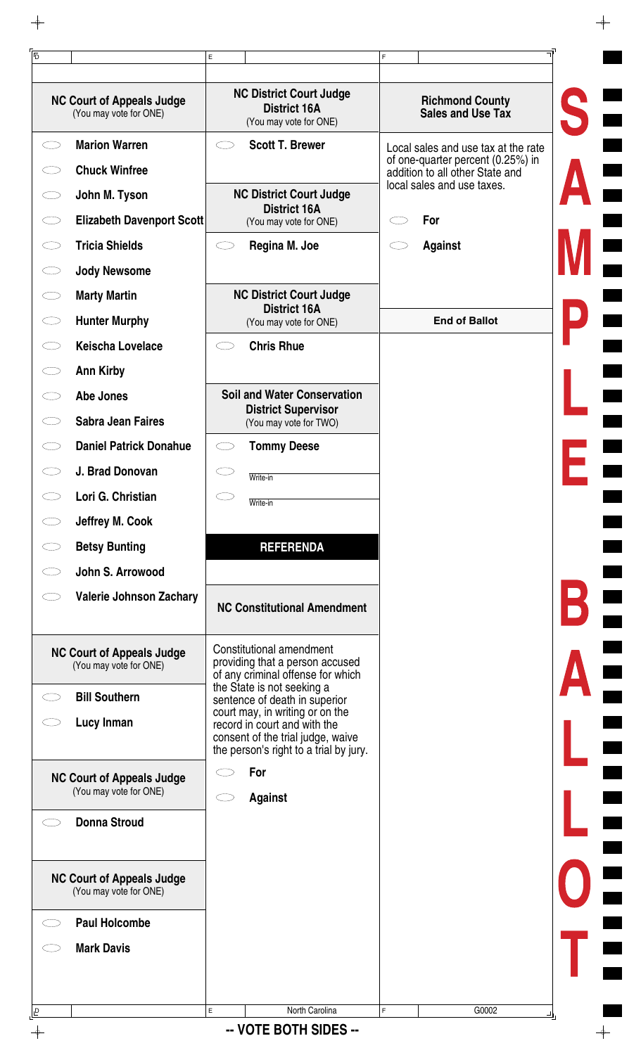| <b>NC Court of Appeals Judge</b><br>(You may vote for ONE) | <b>NC District Court Judge</b><br><b>District 16A</b><br>(You may vote for ONE)                                                                | <b>Richmond County</b><br>Sales and Use Tax                              |
|------------------------------------------------------------|------------------------------------------------------------------------------------------------------------------------------------------------|--------------------------------------------------------------------------|
| <b>Marion Warren</b><br>Ο                                  | <b>Scott T. Brewer</b>                                                                                                                         | Local sales and use tax at the rate<br>of one-quarter percent (0.25%) in |
| <b>Chuck Winfree</b>                                       |                                                                                                                                                | addition to all other State and<br>local sales and use taxes.            |
| John M. Tyson                                              | <b>NC District Court Judge</b><br><b>District 16A</b>                                                                                          |                                                                          |
| <b>Elizabeth Davenport Scott</b>                           | (You may vote for ONE)                                                                                                                         | For                                                                      |
| <b>Tricia Shields</b>                                      | Regina M. Joe                                                                                                                                  | <b>Against</b>                                                           |
| <b>Jody Newsome</b>                                        |                                                                                                                                                |                                                                          |
| <b>Marty Martin</b>                                        | <b>NC District Court Judge</b><br><b>District 16A</b>                                                                                          |                                                                          |
| <b>Hunter Murphy</b><br>くつ                                 | (You may vote for ONE)                                                                                                                         | <b>End of Ballot</b>                                                     |
| <b>Keischa Lovelace</b>                                    | <b>Chris Rhue</b>                                                                                                                              |                                                                          |
| <b>Ann Kirby</b>                                           |                                                                                                                                                |                                                                          |
| Abe Jones                                                  | <b>Soil and Water Conservation</b>                                                                                                             |                                                                          |
| <b>Sabra Jean Faires</b>                                   | <b>District Supervisor</b><br>(You may vote for TWO)                                                                                           |                                                                          |
| <b>Daniel Patrick Donahue</b>                              | <b>Tommy Deese</b>                                                                                                                             |                                                                          |
| J. Brad Donovan                                            | Write-in                                                                                                                                       |                                                                          |
| Lori G. Christian                                          | Write-in                                                                                                                                       |                                                                          |
| Jeffrey M. Cook                                            |                                                                                                                                                |                                                                          |
| <b>Betsy Bunting</b>                                       | <b>REFERENDA</b>                                                                                                                               |                                                                          |
| John S. Arrowood                                           |                                                                                                                                                |                                                                          |
| <b>Valerie Johnson Zachary</b>                             | <b>NC Constitutional Amendment</b>                                                                                                             |                                                                          |
| <b>NC Court of Appeals Judge</b><br>(You may vote for ONE) | Constitutional amendment<br>providing that a person accused<br>of any criminal offense for which                                               |                                                                          |
| <b>Bill Southern</b>                                       | the State is not seeking a<br>sentence of death in superior                                                                                    |                                                                          |
| Lucy Inman                                                 | court may, in writing or on the<br>record in court and with the<br>consent of the trial judge, waive<br>the person's right to a trial by jury. |                                                                          |
| <b>NC Court of Appeals Judge</b><br>(You may vote for ONE) | For<br><b>Against</b>                                                                                                                          |                                                                          |
| <b>Donna Stroud</b>                                        |                                                                                                                                                |                                                                          |
| <b>NC Court of Appeals Judge</b><br>(You may vote for ONE) |                                                                                                                                                |                                                                          |
| <b>Paul Holcombe</b>                                       |                                                                                                                                                |                                                                          |
| <b>Mark Davis</b>                                          |                                                                                                                                                |                                                                          |
|                                                            |                                                                                                                                                |                                                                          |
|                                                            | E<br>North Carolina                                                                                                                            | F.<br>G0002                                                              |

 $\rightarrow$ 

 $\phi$ -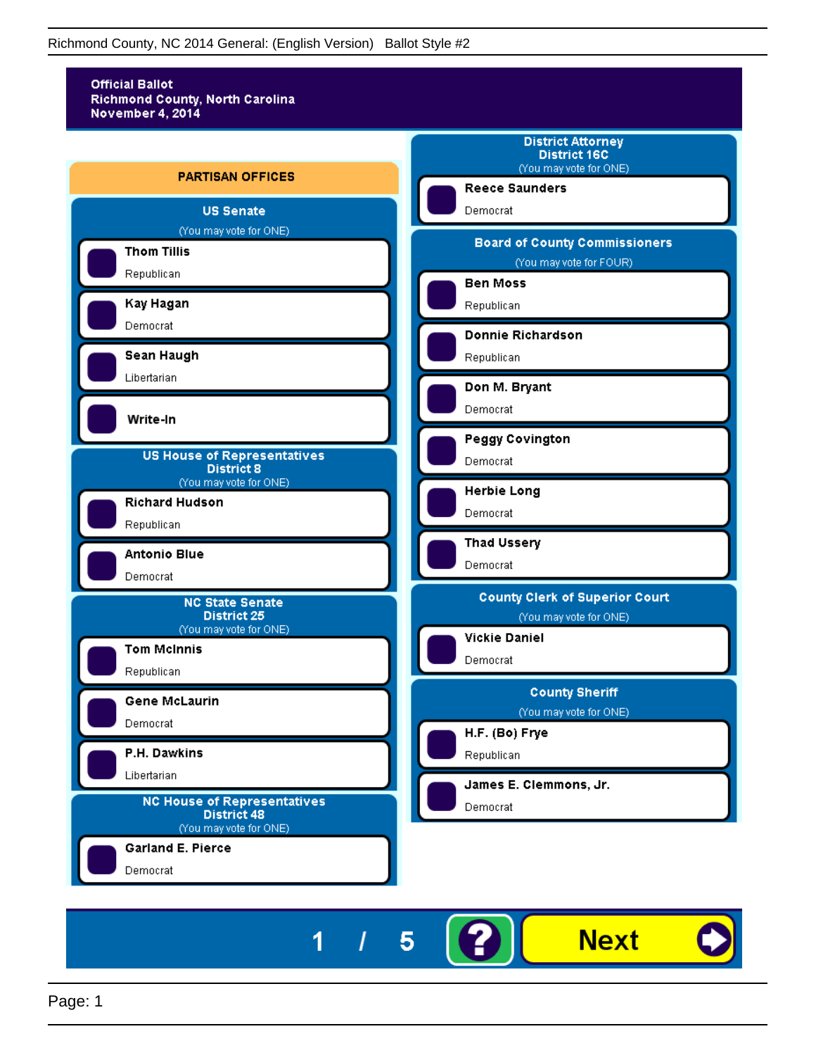

5

I

1

**Next**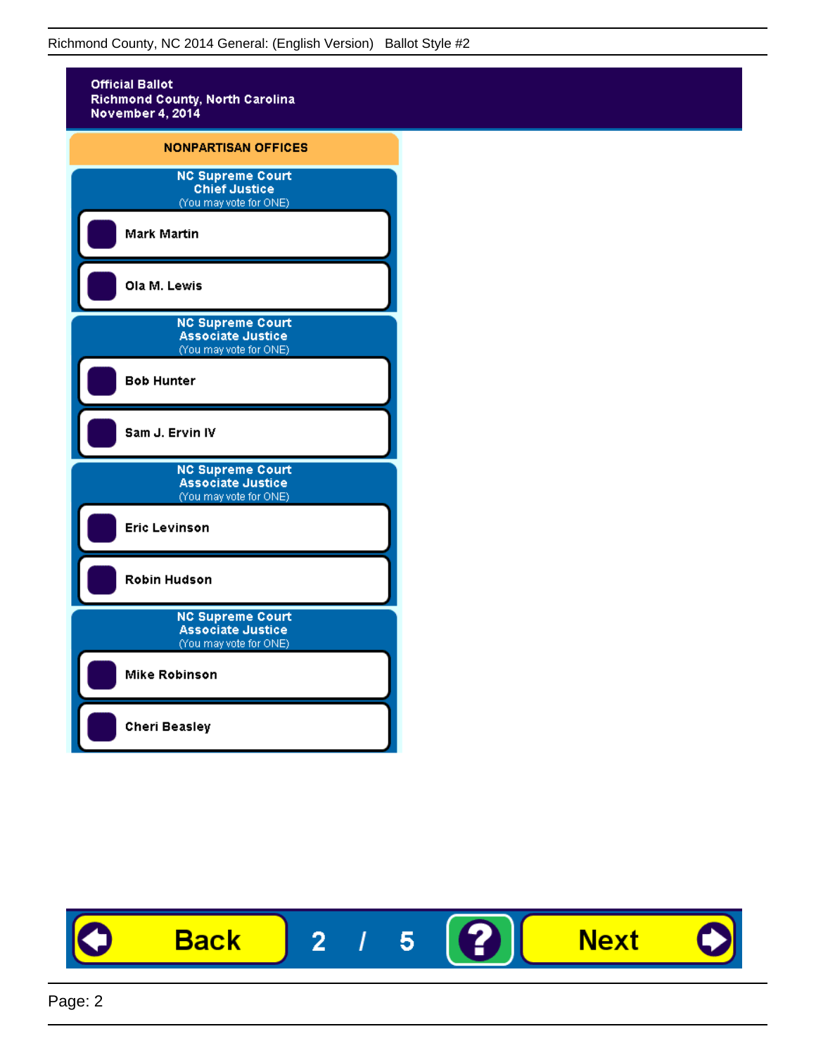

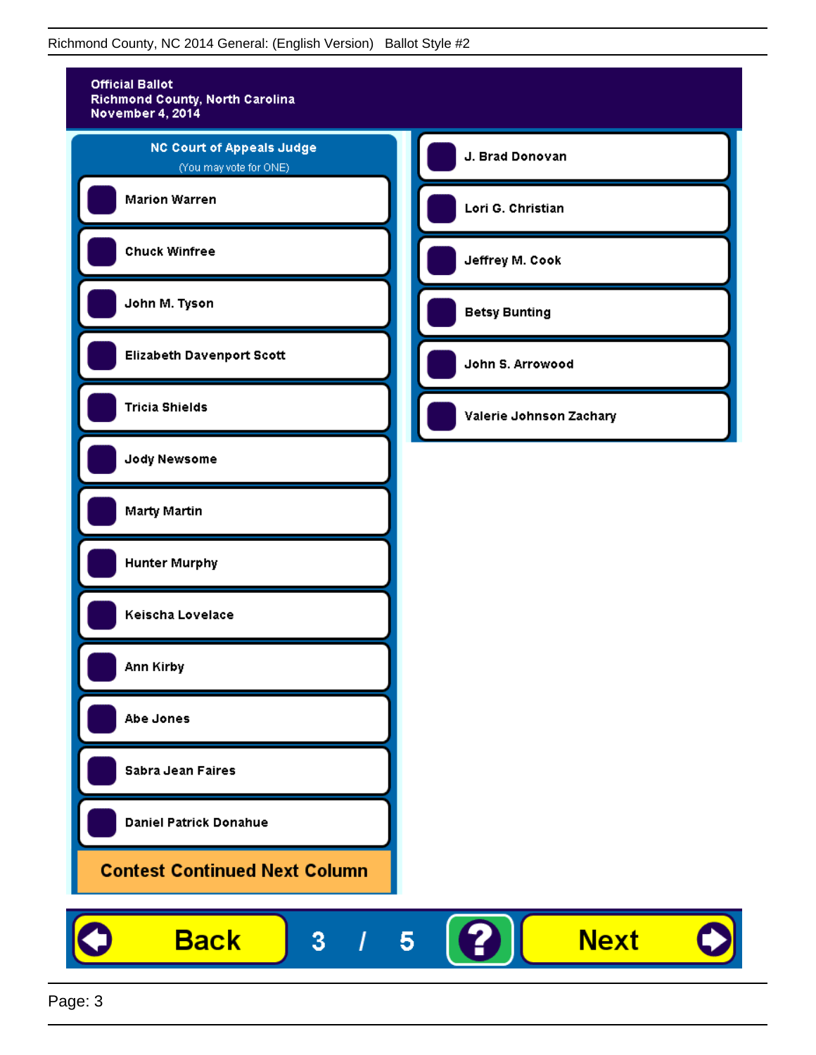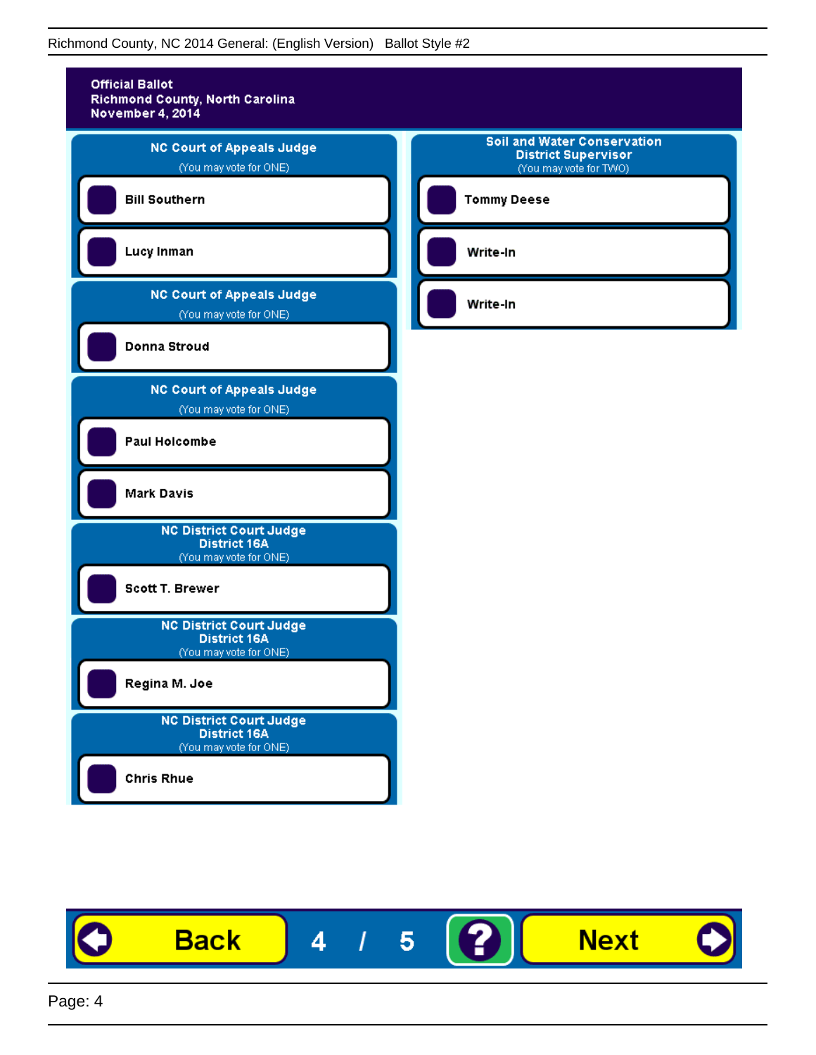